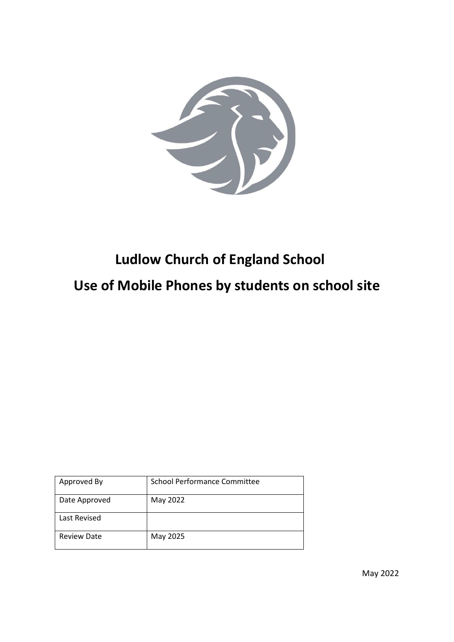

# **Ludlow Church of England School Use of Mobile Phones by students on school site**

| Approved By        | <b>School Performance Committee</b> |
|--------------------|-------------------------------------|
| Date Approved      | May 2022                            |
| Last Revised       |                                     |
| <b>Review Date</b> | May 2025                            |

May 2022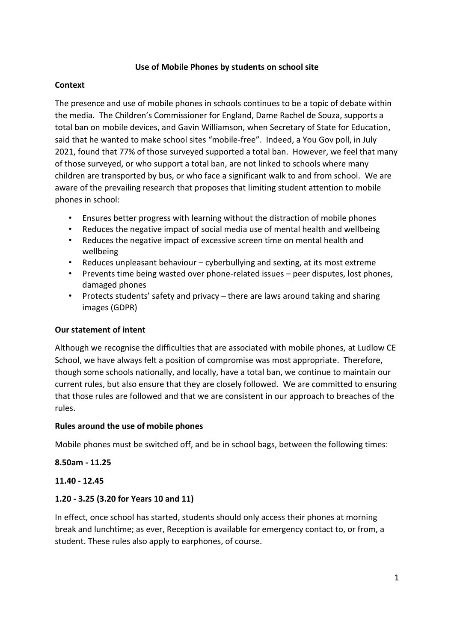## **Use of Mobile Phones by students on school site**

## **Context**

The presence and use of mobile phones in schools continues to be a topic of debate within the media. The Children's Commissioner for England, Dame Rachel de Souza, supports a total ban on mobile devices, and Gavin Williamson, when Secretary of State for Education, said that he wanted to make school sites "mobile-free". Indeed, a You Gov poll, in July 2021, found that 77% of those surveyed supported a total ban. However, we feel that many of those surveyed, or who support a total ban, are not linked to schools where many children are transported by bus, or who face a significant walk to and from school. We are aware of the prevailing research that proposes that limiting student attention to mobile phones in school:

- Ensures better progress with learning without the distraction of mobile phones
- Reduces the negative impact of social media use of mental health and wellbeing
- Reduces the negative impact of excessive screen time on mental health and wellbeing
- Reduces unpleasant behaviour cyberbullying and sexting, at its most extreme
- Prevents time being wasted over phone-related issues peer disputes, lost phones, damaged phones
- Protects students' safety and privacy there are laws around taking and sharing images (GDPR)

# **Our statement of intent**

Although we recognise the difficulties that are associated with mobile phones, at Ludlow CE School, we have always felt a position of compromise was most appropriate. Therefore, though some schools nationally, and locally, have a total ban, we continue to maintain our current rules, but also ensure that they are closely followed. We are committed to ensuring that those rules are followed and that we are consistent in our approach to breaches of the rules.

#### **Rules around the use of mobile phones**

Mobile phones must be switched off, and be in school bags, between the following times:

#### **8.50am - 11.25**

#### **11.40 - 12.45**

# **1.20 - 3.25 (3.20 for Years 10 and 11)**

In effect, once school has started, students should only access their phones at morning break and lunchtime; as ever, Reception is available for emergency contact to, or from, a student. These rules also apply to earphones, of course.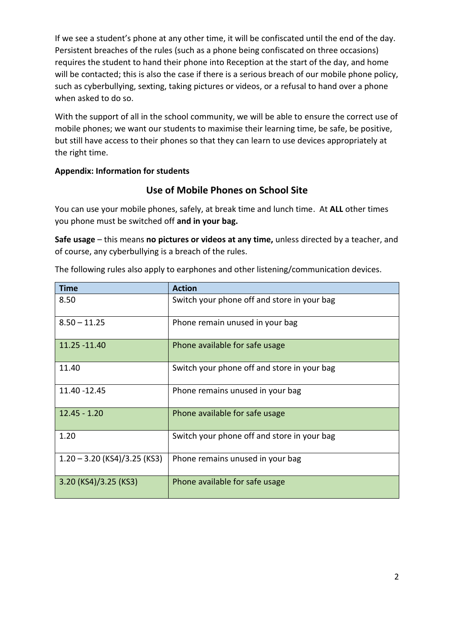If we see a student's phone at any other time, it will be confiscated until the end of the day. Persistent breaches of the rules (such as a phone being confiscated on three occasions) requires the student to hand their phone into Reception at the start of the day, and home will be contacted; this is also the case if there is a serious breach of our mobile phone policy, such as cyberbullying, sexting, taking pictures or videos, or a refusal to hand over a phone when asked to do so.

With the support of all in the school community, we will be able to ensure the correct use of mobile phones; we want our students to maximise their learning time, be safe, be positive, but still have access to their phones so that they can learn to use devices appropriately at the right time.

# **Appendix: Information for students**

# **Use of Mobile Phones on School Site**

You can use your mobile phones, safely, at break time and lunch time. At **ALL** other times you phone must be switched off **and in your bag.**

**Safe usage** – this means **no pictures or videos at any time,** unless directed by a teacher, and of course, any cyberbullying is a breach of the rules.

| <b>Time</b>                    | <b>Action</b>                               |
|--------------------------------|---------------------------------------------|
| 8.50                           | Switch your phone off and store in your bag |
| $8.50 - 11.25$                 | Phone remain unused in your bag             |
| 11.25 - 11.40                  | Phone available for safe usage              |
| 11.40                          | Switch your phone off and store in your bag |
| 11.40 - 12.45                  | Phone remains unused in your bag            |
| $12.45 - 1.20$                 | Phone available for safe usage              |
| 1.20                           | Switch your phone off and store in your bag |
| $1.20 - 3.20$ (KS4)/3.25 (KS3) | Phone remains unused in your bag            |
| 3.20 (KS4)/3.25 (KS3)          | Phone available for safe usage              |

The following rules also apply to earphones and other listening/communication devices.